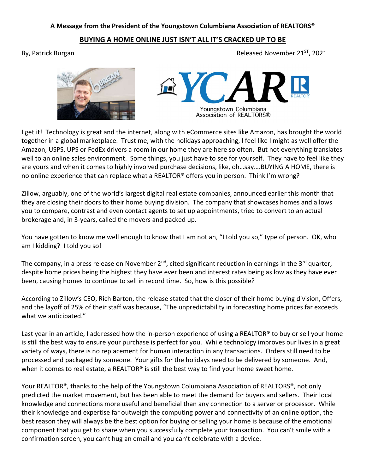## A Message from the President of the Youngstown Columbiana Association of REALTORS®

## BUYING A HOME ONLINE JUST ISN'T ALL IT'S CRACKED UP TO BE

By, Patrick Burgan Burgan Burgan Released November 21 $^{ST}$ , 2021





I get it! Technology is great and the internet, along with eCommerce sites like Amazon, has brought the world together in a global marketplace. Trust me, with the holidays approaching, I feel like I might as well offer the Amazon, USPS, UPS or FedEx drivers a room in our home they are here so often. But not everything translates well to an online sales environment. Some things, you just have to see for yourself. They have to feel like they are yours and when it comes to highly involved purchase decisions, like, oh…say….BUYING A HOME, there is no online experience that can replace what a REALTOR® offers you in person. Think I'm wrong?

Zillow, arguably, one of the world's largest digital real estate companies, announced earlier this month that they are closing their doors to their home buying division. The company that showcases homes and allows you to compare, contrast and even contact agents to set up appointments, tried to convert to an actual brokerage and, in 3-years, called the movers and packed up.

You have gotten to know me well enough to know that I am not an, "I told you so," type of person. OK, who am I kidding? I told you so!

The company, in a press release on November  $2^{nd}$ , cited significant reduction in earnings in the  $3^{rd}$  quarter, despite home prices being the highest they have ever been and interest rates being as low as they have ever been, causing homes to continue to sell in record time. So, how is this possible?

According to Zillow's CEO, Rich Barton, the release stated that the closer of their home buying division, Offers, and the layoff of 25% of their staff was because, "The unpredictability in forecasting home prices far exceeds what we anticipated."

Last year in an article, I addressed how the in-person experience of using a REALTOR® to buy or sell your home is still the best way to ensure your purchase is perfect for you. While technology improves our lives in a great variety of ways, there is no replacement for human interaction in any transactions. Orders still need to be processed and packaged by someone. Your gifts for the holidays need to be delivered by someone. And, when it comes to real estate, a REALTOR<sup>®</sup> is still the best way to find your home sweet home.

Your REALTOR®, thanks to the help of the Youngstown Columbiana Association of REALTORS®, not only predicted the market movement, but has been able to meet the demand for buyers and sellers. Their local knowledge and connections more useful and beneficial than any connection to a server or processor. While their knowledge and expertise far outweigh the computing power and connectivity of an online option, the best reason they will always be the best option for buying or selling your home is because of the emotional component that you get to share when you successfully complete your transaction. You can't smile with a confirmation screen, you can't hug an email and you can't celebrate with a device.